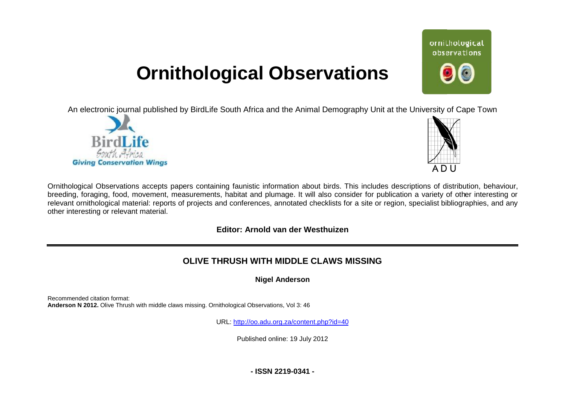## **Ornithological Observations**

An electronic journal published by BirdLife South Africa and the Animal Demography Unit at the University of Cape Town





ornithological observations

Ornithological Observations accepts papers containing faunistic information about birds. This includes descriptions of distribution, behaviour, breeding, foraging, food, movement, measurements, habitat and plumage. It will also consider for publication a variety of other interesting or relevant ornithological material: reports of projects and conferences, annotated checklists for a site or region, specialist bibliographies, and any other interesting or relevant material.

## **Editor: Arnold van der Westhuizen**

## **OLIVE THRUSH WITH MI MIDDLE CLAWS MISSING**

**Nigel Anderson** 

Recommended citation format: Anderson N 2012. Olive Thrush with middle claws missing. Ornithological Observations, Vol 3: 46

URL: <http://oo.adu.org.za/content.php?id=40>

Published online: 19 July 2012